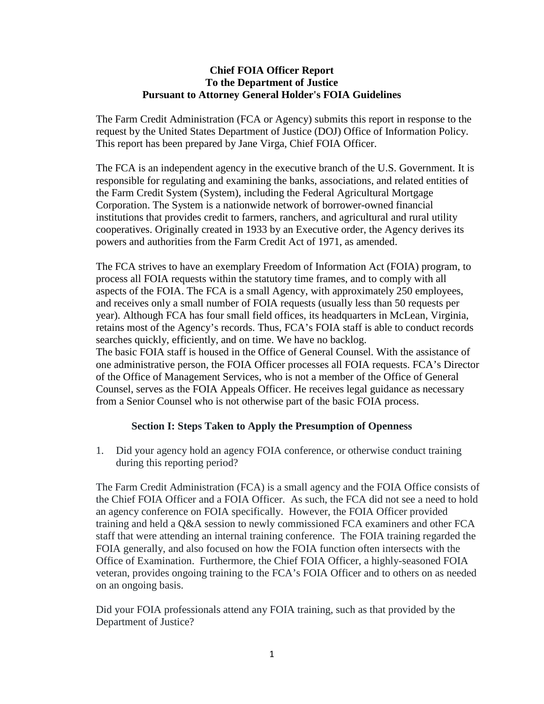#### **Chief FOIA Officer Report To the Department of Justice Pursuant to Attorney General Holder's FOIA Guidelines**

The Farm Credit Administration (FCA or Agency) submits this report in response to the request by the United States Department of Justice (DOJ) Office of Information Policy. This report has been prepared by Jane Virga, Chief FOIA Officer.

The FCA is an independent agency in the executive branch of the U.S. Government. It is responsible for regulating and examining the banks, associations, and related entities of the Farm Credit System (System), including the Federal Agricultural Mortgage Corporation. The System is a nationwide network of borrower-owned financial institutions that provides credit to farmers, ranchers, and agricultural and rural utility cooperatives. Originally created in 1933 by an Executive order, the Agency derives its powers and authorities from the Farm Credit Act of 1971, as amended.

The FCA strives to have an exemplary Freedom of Information Act (FOIA) program, to process all FOIA requests within the statutory time frames, and to comply with all aspects of the FOIA. The FCA is a small Agency, with approximately 250 employees, and receives only a small number of FOIA requests (usually less than 50 requests per year). Although FCA has four small field offices, its headquarters in McLean, Virginia, retains most of the Agency's records. Thus, FCA's FOIA staff is able to conduct records searches quickly, efficiently, and on time. We have no backlog. The basic FOIA staff is housed in the Office of General Counsel. With the assistance of one administrative person, the FOIA Officer processes all FOIA requests. FCA's Director of the Office of Management Services, who is not a member of the Office of General Counsel, serves as the FOIA Appeals Officer. He receives legal guidance as necessary from a Senior Counsel who is not otherwise part of the basic FOIA process.

#### **Section I: Steps Taken to Apply the Presumption of Openness**

1. Did your agency hold an agency FOIA conference, or otherwise conduct training during this reporting period?

The Farm Credit Administration (FCA) is a small agency and the FOIA Office consists of the Chief FOIA Officer and a FOIA Officer. As such, the FCA did not see a need to hold an agency conference on FOIA specifically. However, the FOIA Officer provided training and held a Q&A session to newly commissioned FCA examiners and other FCA staff that were attending an internal training conference. The FOIA training regarded the FOIA generally, and also focused on how the FOIA function often intersects with the Office of Examination. Furthermore, the Chief FOIA Officer, a highly-seasoned FOIA veteran, provides ongoing training to the FCA's FOIA Officer and to others on as needed on an ongoing basis.

Did your FOIA professionals attend any FOIA training, such as that provided by the Department of Justice?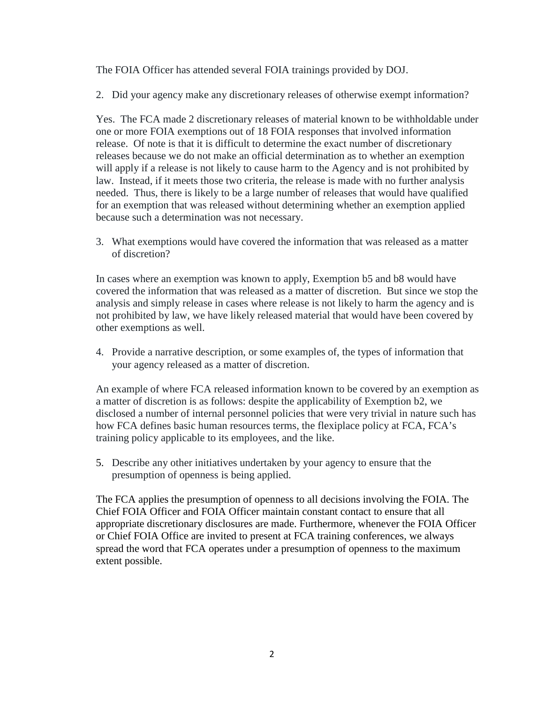The FOIA Officer has attended several FOIA trainings provided by DOJ.

2. Did your agency make any discretionary releases of otherwise exempt information?

Yes. The FCA made 2 discretionary releases of material known to be withholdable under one or more FOIA exemptions out of 18 FOIA responses that involved information release. Of note is that it is difficult to determine the exact number of discretionary releases because we do not make an official determination as to whether an exemption will apply if a release is not likely to cause harm to the Agency and is not prohibited by law. Instead, if it meets those two criteria, the release is made with no further analysis needed. Thus, there is likely to be a large number of releases that would have qualified for an exemption that was released without determining whether an exemption applied because such a determination was not necessary.

3. What exemptions would have covered the information that was released as a matter of discretion?

In cases where an exemption was known to apply, Exemption b5 and b8 would have covered the information that was released as a matter of discretion. But since we stop the analysis and simply release in cases where release is not likely to harm the agency and is not prohibited by law, we have likely released material that would have been covered by other exemptions as well.

4. Provide a narrative description, or some examples of, the types of information that your agency released as a matter of discretion.

An example of where FCA released information known to be covered by an exemption as a matter of discretion is as follows: despite the applicability of Exemption b2, we disclosed a number of internal personnel policies that were very trivial in nature such has how FCA defines basic human resources terms, the flexiplace policy at FCA, FCA's training policy applicable to its employees, and the like.

5. Describe any other initiatives undertaken by your agency to ensure that the presumption of openness is being applied.

The FCA applies the presumption of openness to all decisions involving the FOIA. The Chief FOIA Officer and FOIA Officer maintain constant contact to ensure that all appropriate discretionary disclosures are made. Furthermore, whenever the FOIA Officer or Chief FOIA Office are invited to present at FCA training conferences, we always spread the word that FCA operates under a presumption of openness to the maximum extent possible.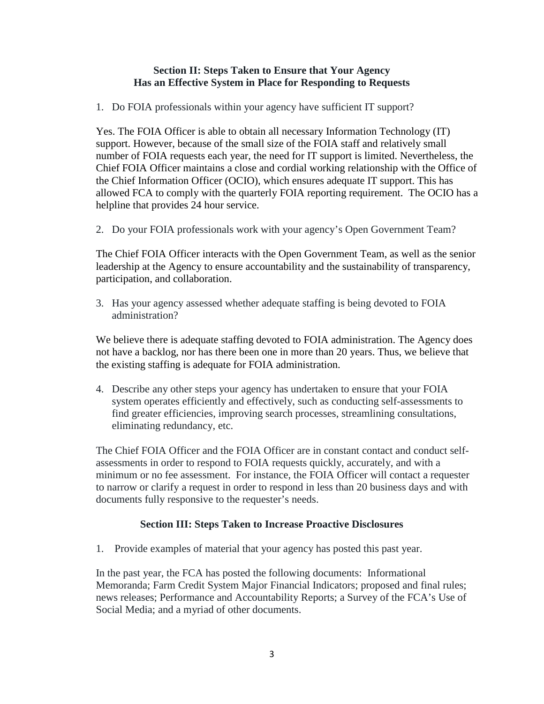### **Section II: Steps Taken to Ensure that Your Agency Has an Effective System in Place for Responding to Requests**

1. Do FOIA professionals within your agency have sufficient IT support?

Yes. The FOIA Officer is able to obtain all necessary Information Technology (IT) support. However, because of the small size of the FOIA staff and relatively small number of FOIA requests each year, the need for IT support is limited. Nevertheless, the Chief FOIA Officer maintains a close and cordial working relationship with the Office of the Chief Information Officer (OCIO), which ensures adequate IT support. This has allowed FCA to comply with the quarterly FOIA reporting requirement. The OCIO has a helpline that provides 24 hour service.

2. Do your FOIA professionals work with your agency's Open Government Team?

The Chief FOIA Officer interacts with the Open Government Team, as well as the senior leadership at the Agency to ensure accountability and the sustainability of transparency, participation, and collaboration.

3. Has your agency assessed whether adequate staffing is being devoted to FOIA administration?

We believe there is adequate staffing devoted to FOIA administration. The Agency does not have a backlog, nor has there been one in more than 20 years. Thus, we believe that the existing staffing is adequate for FOIA administration.

4. Describe any other steps your agency has undertaken to ensure that your FOIA system operates efficiently and effectively, such as conducting self-assessments to find greater efficiencies, improving search processes, streamlining consultations, eliminating redundancy, etc.

The Chief FOIA Officer and the FOIA Officer are in constant contact and conduct selfassessments in order to respond to FOIA requests quickly, accurately, and with a minimum or no fee assessment. For instance, the FOIA Officer will contact a requester to narrow or clarify a request in order to respond in less than 20 business days and with documents fully responsive to the requester's needs.

# **Section III: Steps Taken to Increase Proactive Disclosures**

1. Provide examples of material that your agency has posted this past year.

In the past year, the FCA has posted the following documents: Informational Memoranda; Farm Credit System Major Financial Indicators; proposed and final rules; news releases; Performance and Accountability Reports; a Survey of the FCA's Use of Social Media; and a myriad of other documents.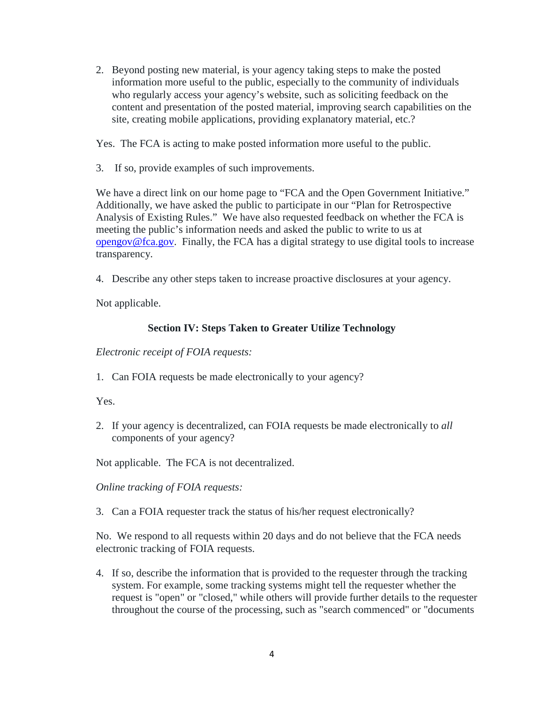2. Beyond posting new material, is your agency taking steps to make the posted information more useful to the public, especially to the community of individuals who regularly access your agency's website, such as soliciting feedback on the content and presentation of the posted material, improving search capabilities on the site, creating mobile applications, providing explanatory material, etc.?

Yes. The FCA is acting to make posted information more useful to the public.

3. If so, provide examples of such improvements.

We have a direct link on our home page to "FCA and the Open Government Initiative." Additionally, we have asked the public to participate in our "Plan for Retrospective Analysis of Existing Rules." We have also requested feedback on whether the FCA is meeting the public's information needs and asked the public to write to us at [opengov@fca.gov.](mailto:opengov@fca.gov) Finally, the FCA has a digital strategy to use digital tools to increase transparency.

4. Describe any other steps taken to increase proactive disclosures at your agency.

Not applicable.

# **Section IV: Steps Taken to Greater Utilize Technology**

*Electronic receipt of FOIA requests:*

1. Can FOIA requests be made electronically to your agency?

Yes.

2. If your agency is decentralized, can FOIA requests be made electronically to *all* components of your agency?

Not applicable. The FCA is not decentralized.

*Online tracking of FOIA requests:* 

3. Can a FOIA requester track the status of his/her request electronically?

No. We respond to all requests within 20 days and do not believe that the FCA needs electronic tracking of FOIA requests.

4. If so, describe the information that is provided to the requester through the tracking system. For example, some tracking systems might tell the requester whether the request is "open" or "closed," while others will provide further details to the requester throughout the course of the processing, such as "search commenced" or "documents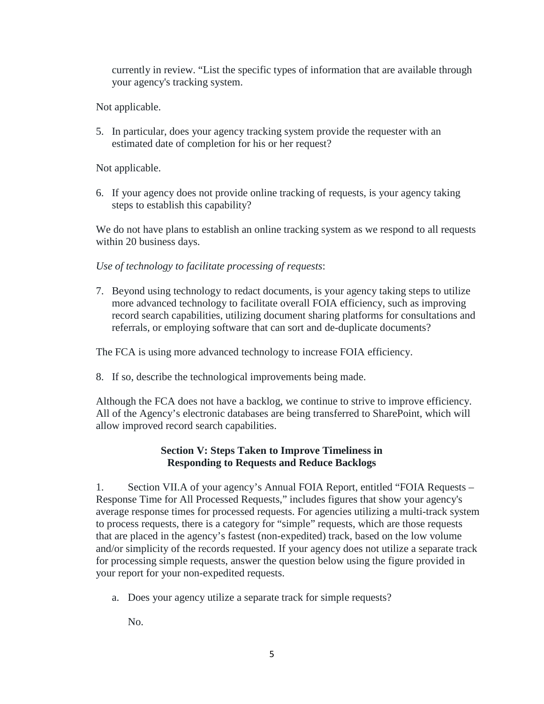currently in review. "List the specific types of information that are available through your agency's tracking system.

Not applicable.

5. In particular, does your agency tracking system provide the requester with an estimated date of completion for his or her request?

Not applicable.

6. If your agency does not provide online tracking of requests, is your agency taking steps to establish this capability?

We do not have plans to establish an online tracking system as we respond to all requests within 20 business days.

*Use of technology to facilitate processing of requests*:

7. Beyond using technology to redact documents, is your agency taking steps to utilize more advanced technology to facilitate overall FOIA efficiency, such as improving record search capabilities, utilizing document sharing platforms for consultations and referrals, or employing software that can sort and de-duplicate documents?

The FCA is using more advanced technology to increase FOIA efficiency.

8. If so, describe the technological improvements being made.

Although the FCA does not have a backlog, we continue to strive to improve efficiency. All of the Agency's electronic databases are being transferred to SharePoint, which will allow improved record search capabilities.

# **Section V: Steps Taken to Improve Timeliness in Responding to Requests and Reduce Backlogs**

1. Section VII.A of your agency's Annual FOIA Report, entitled "FOIA Requests – Response Time for All Processed Requests," includes figures that show your agency's average response times for processed requests. For agencies utilizing a multi-track system to process requests, there is a category for "simple" requests, which are those requests that are placed in the agency's fastest (non-expedited) track, based on the low volume and/or simplicity of the records requested. If your agency does not utilize a separate track for processing simple requests, answer the question below using the figure provided in your report for your non-expedited requests.

a. Does your agency utilize a separate track for simple requests?

No.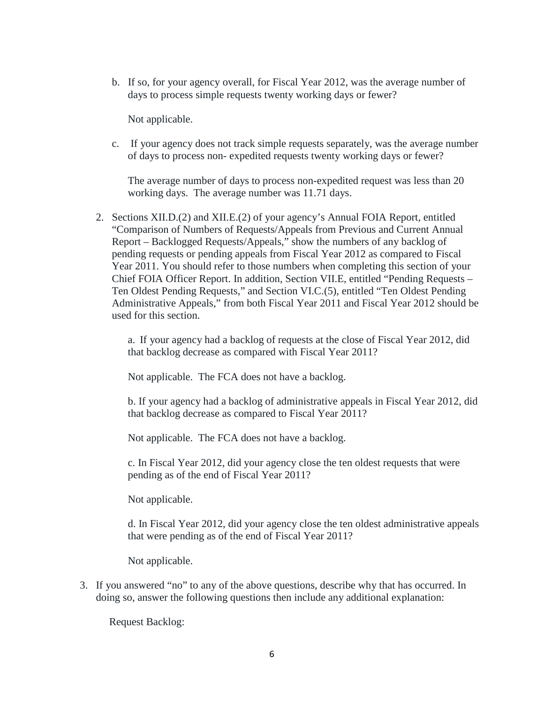b. If so, for your agency overall, for Fiscal Year 2012, was the average number of days to process simple requests twenty working days or fewer?

Not applicable.

c. If your agency does not track simple requests separately, was the average number of days to process non- expedited requests twenty working days or fewer?

The average number of days to process non-expedited request was less than 20 working days. The average number was 11.71 days.

2. Sections XII.D.(2) and XII.E.(2) of your agency's Annual FOIA Report, entitled "Comparison of Numbers of Requests/Appeals from Previous and Current Annual Report – Backlogged Requests/Appeals," show the numbers of any backlog of pending requests or pending appeals from Fiscal Year 2012 as compared to Fiscal Year 2011. You should refer to those numbers when completing this section of your Chief FOIA Officer Report. In addition, Section VII.E, entitled "Pending Requests – Ten Oldest Pending Requests," and Section VI.C.(5), entitled "Ten Oldest Pending Administrative Appeals," from both Fiscal Year 2011 and Fiscal Year 2012 should be used for this section.

a. If your agency had a backlog of requests at the close of Fiscal Year 2012, did that backlog decrease as compared with Fiscal Year 2011?

Not applicable. The FCA does not have a backlog.

b. If your agency had a backlog of administrative appeals in Fiscal Year 2012, did that backlog decrease as compared to Fiscal Year 2011?

Not applicable. The FCA does not have a backlog.

c. In Fiscal Year 2012, did your agency close the ten oldest requests that were pending as of the end of Fiscal Year 2011?

Not applicable.

d. In Fiscal Year 2012, did your agency close the ten oldest administrative appeals that were pending as of the end of Fiscal Year 2011?

Not applicable.

3. If you answered "no" to any of the above questions, describe why that has occurred. In doing so, answer the following questions then include any additional explanation:

Request Backlog: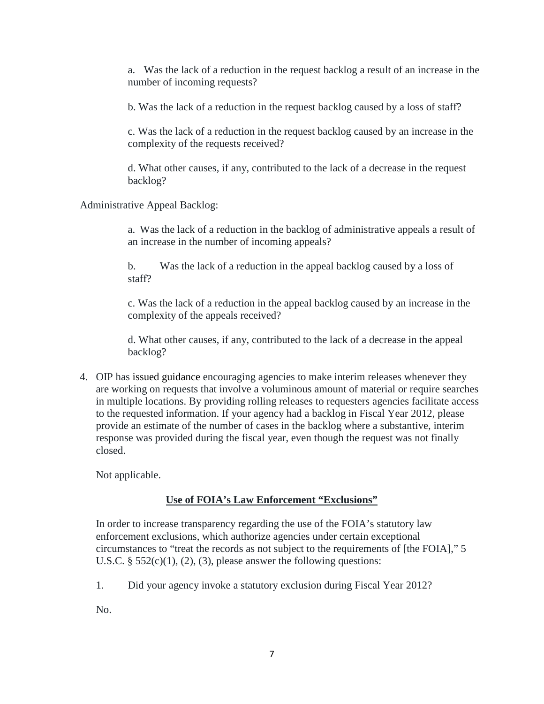a. Was the lack of a reduction in the request backlog a result of an increase in the number of incoming requests?

b. Was the lack of a reduction in the request backlog caused by a loss of staff?

c. Was the lack of a reduction in the request backlog caused by an increase in the complexity of the requests received?

d. What other causes, if any, contributed to the lack of a decrease in the request backlog?

Administrative Appeal Backlog:

a. Was the lack of a reduction in the backlog of administrative appeals a result of an increase in the number of incoming appeals?

b. Was the lack of a reduction in the appeal backlog caused by a loss of staff?

c. Was the lack of a reduction in the appeal backlog caused by an increase in the complexity of the appeals received?

d. What other causes, if any, contributed to the lack of a decrease in the appeal backlog?

4. OIP has issued [guidance](http://www.justice.gov/oip/foiapost/2010foiapost5.htm) encouraging agencies to make interim releases whenever they are working on requests that involve a voluminous amount of material or require searches in multiple locations. By providing rolling releases to requesters agencies facilitate access to the requested information. If your agency had a backlog in Fiscal Year 2012, please provide an estimate of the number of cases in the backlog where a substantive, interim response was provided during the fiscal year, even though the request was not finally closed.

Not applicable.

# **Use of FOIA's Law Enforcement "Exclusions"**

In order to increase transparency regarding the use of the FOIA's statutory law enforcement exclusions, which authorize agencies under certain exceptional circumstances to "treat the records as not subject to the requirements of [the FOIA]," 5 U.S.C.  $\S$  552(c)(1), (2), (3), please answer the following questions:

1. Did your agency invoke a statutory exclusion during Fiscal Year 2012?

No.